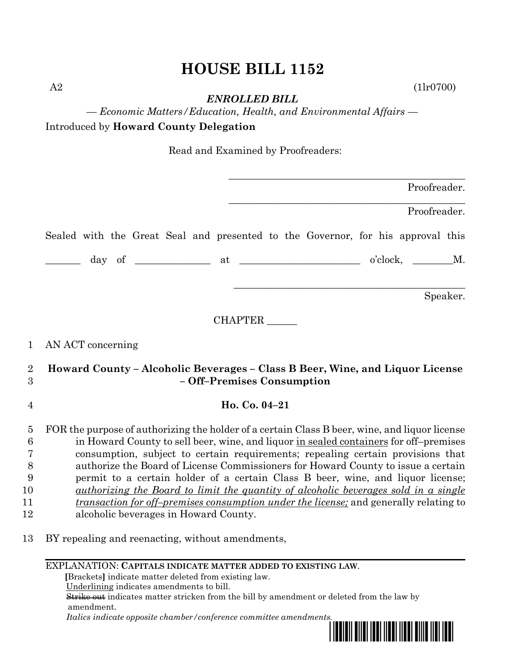## **HOUSE BILL 1152**

A2 (1lr0700)

*ENROLLED BILL*

*— Economic Matters/Education, Health, and Environmental Affairs —* Introduced by **Howard County Delegation**

Read and Examined by Proofreaders:

| Proofreader.                                                                                                                                                                                                                                                                                                                                                                                                                                                                                                                                                                                                                                                                                                                  |  |  |
|-------------------------------------------------------------------------------------------------------------------------------------------------------------------------------------------------------------------------------------------------------------------------------------------------------------------------------------------------------------------------------------------------------------------------------------------------------------------------------------------------------------------------------------------------------------------------------------------------------------------------------------------------------------------------------------------------------------------------------|--|--|
| Proofreader.                                                                                                                                                                                                                                                                                                                                                                                                                                                                                                                                                                                                                                                                                                                  |  |  |
| Sealed with the Great Seal and presented to the Governor, for his approval this                                                                                                                                                                                                                                                                                                                                                                                                                                                                                                                                                                                                                                               |  |  |
|                                                                                                                                                                                                                                                                                                                                                                                                                                                                                                                                                                                                                                                                                                                               |  |  |
| Speaker.                                                                                                                                                                                                                                                                                                                                                                                                                                                                                                                                                                                                                                                                                                                      |  |  |
| <b>CHAPTER</b>                                                                                                                                                                                                                                                                                                                                                                                                                                                                                                                                                                                                                                                                                                                |  |  |
| AN ACT concerning                                                                                                                                                                                                                                                                                                                                                                                                                                                                                                                                                                                                                                                                                                             |  |  |
| Howard County – Alcoholic Beverages – Class B Beer, Wine, and Liquor License<br>- Off-Premises Consumption                                                                                                                                                                                                                                                                                                                                                                                                                                                                                                                                                                                                                    |  |  |
| Ho. Co. 04-21                                                                                                                                                                                                                                                                                                                                                                                                                                                                                                                                                                                                                                                                                                                 |  |  |
| FOR the purpose of authorizing the holder of a certain Class B beer, wine, and liquor license<br>$\overline{5}$<br>$6\phantom{.}6$<br>in Howard County to sell beer, wine, and liquor in sealed containers for off-premises<br>consumption, subject to certain requirements; repealing certain provisions that<br>authorize the Board of License Commissioners for Howard County to issue a certain<br>permit to a certain holder of a certain Class B beer, wine, and liquor license;<br><u>authorizing the Board to limit the quantity of alcoholic beverages sold in a single</u><br><i>transaction for off-premises consumption under the license;</i> and generally relating to<br>alcoholic beverages in Howard County. |  |  |
| BY repealing and reenacting, without amendments,                                                                                                                                                                                                                                                                                                                                                                                                                                                                                                                                                                                                                                                                              |  |  |
|                                                                                                                                                                                                                                                                                                                                                                                                                                                                                                                                                                                                                                                                                                                               |  |  |

 **[**Brackets**]** indicate matter deleted from existing law.

Underlining indicates amendments to bill.

 Strike out indicates matter stricken from the bill by amendment or deleted from the law by amendment.

 *Italics indicate opposite chamber/conference committee amendments.*

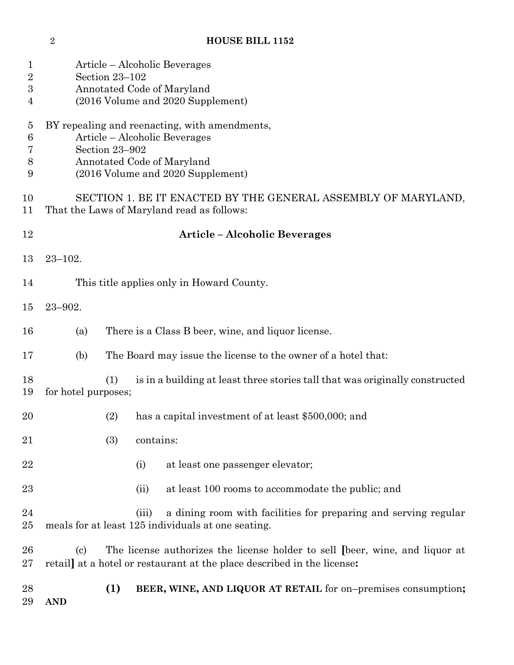| 1<br>$\overline{2}$<br>$\boldsymbol{3}$<br>4 | Section 23-102                                                                                                                                                      | Article – Alcoholic Beverages<br>Annotated Code of Maryland<br>(2016 Volume and 2020 Supplement)                                                       |  |
|----------------------------------------------|---------------------------------------------------------------------------------------------------------------------------------------------------------------------|--------------------------------------------------------------------------------------------------------------------------------------------------------|--|
| $\overline{5}$<br>6<br>7<br>8<br>9           | BY repealing and reenacting, with amendments,<br>Article – Alcoholic Beverages<br>Section 23-902<br>Annotated Code of Maryland<br>(2016 Volume and 2020 Supplement) |                                                                                                                                                        |  |
| 10<br>11                                     | SECTION 1. BE IT ENACTED BY THE GENERAL ASSEMBLY OF MARYLAND,<br>That the Laws of Maryland read as follows:                                                         |                                                                                                                                                        |  |
| 12                                           | <b>Article - Alcoholic Beverages</b>                                                                                                                                |                                                                                                                                                        |  |
| 13                                           | $23 - 102.$                                                                                                                                                         |                                                                                                                                                        |  |
| 14                                           | This title applies only in Howard County.                                                                                                                           |                                                                                                                                                        |  |
| 15                                           | $23 - 902.$                                                                                                                                                         |                                                                                                                                                        |  |
| 16                                           | (a)                                                                                                                                                                 | There is a Class B beer, wine, and liquor license.                                                                                                     |  |
| 17                                           | (b)                                                                                                                                                                 | The Board may issue the license to the owner of a hotel that:                                                                                          |  |
| 18<br>19                                     | (1)<br>for hotel purposes;                                                                                                                                          | is in a building at least three stories tall that was originally constructed                                                                           |  |
| 20                                           | (2)                                                                                                                                                                 | has a capital investment of at least \$500,000; and                                                                                                    |  |
| 21                                           | (3)                                                                                                                                                                 | contains:                                                                                                                                              |  |
| 22                                           |                                                                                                                                                                     | at least one passenger elevator;<br>(i)                                                                                                                |  |
| 23                                           |                                                                                                                                                                     | at least 100 rooms to accommodate the public; and<br>(ii)                                                                                              |  |
| 24<br>25                                     |                                                                                                                                                                     | a dining room with facilities for preparing and serving regular<br>(iii)<br>meals for at least 125 individuals at one seating.                         |  |
| 26<br>27                                     | $\left( \mathrm{c}\right)$                                                                                                                                          | The license authorizes the license holder to sell (beer, wine, and liquor at<br>retail at a hotel or restaurant at the place described in the license: |  |
| 28<br>29                                     | (1)<br><b>AND</b>                                                                                                                                                   | BEER, WINE, AND LIQUOR AT RETAIL for on-premises consumption;                                                                                          |  |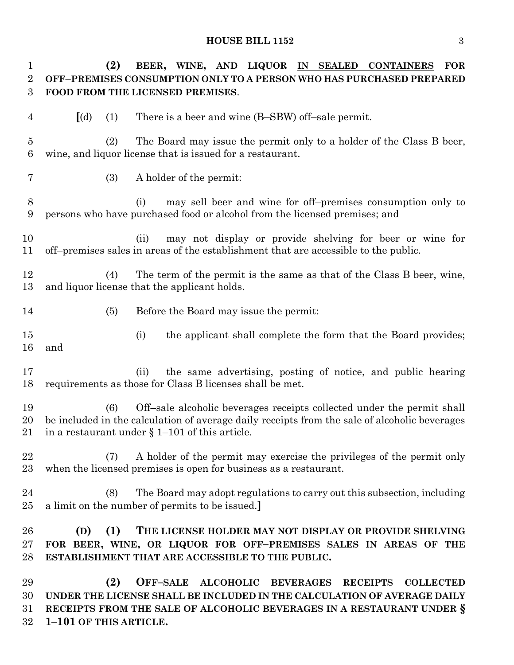## **HOUSE BILL 1152** 3

| $\mathbf 1$<br>$\overline{2}$<br>3 | (2)<br>BEER, WINE, AND LIQUOR IN SEALED<br><b>CONTAINERS</b><br><b>FOR</b><br>OFF-PREMISES CONSUMPTION ONLY TO A PERSON WHO HAS PURCHASED PREPARED<br>FOOD FROM THE LICENSED PREMISES.                                              |
|------------------------------------|-------------------------------------------------------------------------------------------------------------------------------------------------------------------------------------------------------------------------------------|
| 4                                  | There is a beer and wine (B-SBW) off-sale permit.<br>$\left[$ (d)<br>(1)                                                                                                                                                            |
| $\overline{5}$<br>6                | The Board may issue the permit only to a holder of the Class B beer,<br>(2)<br>wine, and liquor license that is issued for a restaurant.                                                                                            |
| $\overline{7}$                     | A holder of the permit:<br>(3)                                                                                                                                                                                                      |
| 8<br>9                             | may sell beer and wine for off-premises consumption only to<br>(i)<br>persons who have purchased food or alcohol from the licensed premises; and                                                                                    |
| 10<br>11                           | may not display or provide shelving for beer or wine for<br>(ii)<br>off-premises sales in areas of the establishment that are accessible to the public.                                                                             |
| 12<br>13                           | The term of the permit is the same as that of the Class B beer, wine,<br>(4)<br>and liquor license that the applicant holds.                                                                                                        |
| 14                                 | (5)<br>Before the Board may issue the permit:                                                                                                                                                                                       |
| 15<br>16                           | the applicant shall complete the form that the Board provides;<br>(i)<br>and                                                                                                                                                        |
| 17<br>18                           | the same advertising, posting of notice, and public hearing<br>(ii)<br>requirements as those for Class B licenses shall be met.                                                                                                     |
| 19<br>20<br>21                     | Off-sale alcoholic beverages receipts collected under the permit shall<br>(6)<br>be included in the calculation of average daily receipts from the sale of alcoholic beverages<br>in a restaurant under $\S 1-101$ of this article. |
| 22<br>23                           | A holder of the permit may exercise the privileges of the permit only<br>(7)<br>when the licensed premises is open for business as a restaurant.                                                                                    |
| $\bf{24}$<br>25                    | (8)<br>The Board may adopt regulations to carry out this subsection, including<br>a limit on the number of permits to be issued.]                                                                                                   |
| 26<br>27<br>28                     | (1)<br>THE LICENSE HOLDER MAY NOT DISPLAY OR PROVIDE SHELVING<br>(D)<br>FOR BEER, WINE, OR LIQUOR FOR OFF-PREMISES SALES IN AREAS OF THE<br>ESTABLISHMENT THAT ARE ACCESSIBLE TO THE PUBLIC.                                        |
| 29<br>30<br>31                     | (2)<br>OFF-SALE ALCOHOLIC BEVERAGES<br><b>RECEIPTS</b><br><b>COLLECTED</b><br>UNDER THE LICENSE SHALL BE INCLUDED IN THE CALCULATION OF AVERAGE DAILY<br>RECEIPTS FROM THE SALE OF ALCOHOLIC BEVERAGES IN A RESTAURANT UNDER §      |

**1–101 OF THIS ARTICLE.**